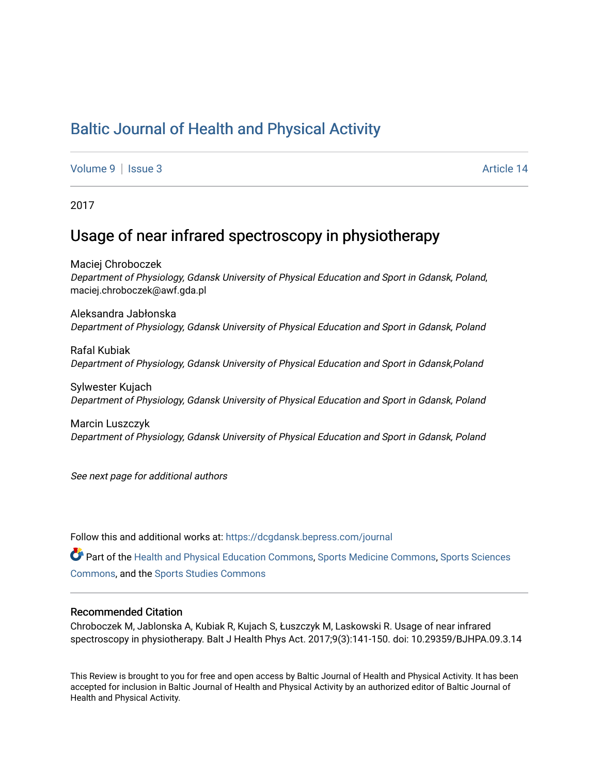# [Baltic Journal of Health and Physical Activity](https://dcgdansk.bepress.com/journal)

[Volume 9](https://dcgdansk.bepress.com/journal/vol9) | [Issue 3](https://dcgdansk.bepress.com/journal/vol9/iss3) Article 14

2017

# Usage of near infrared spectroscopy in physiotherapy

Maciej Chroboczek Department of Physiology, Gdansk University of Physical Education and Sport in Gdansk, Poland, maciej.chroboczek@awf.gda.pl

Aleksandra Jabłonska Department of Physiology, Gdansk University of Physical Education and Sport in Gdansk, Poland

Rafal Kubiak Department of Physiology, Gdansk University of Physical Education and Sport in Gdansk,Poland

Sylwester Kujach Department of Physiology, Gdansk University of Physical Education and Sport in Gdansk, Poland

Marcin Luszczyk Department of Physiology, Gdansk University of Physical Education and Sport in Gdansk, Poland

See next page for additional authors

Follow this and additional works at: [https://dcgdansk.bepress.com/journal](https://dcgdansk.bepress.com/journal?utm_source=dcgdansk.bepress.com%2Fjournal%2Fvol9%2Fiss3%2F14&utm_medium=PDF&utm_campaign=PDFCoverPages)

Part of the [Health and Physical Education Commons](http://network.bepress.com/hgg/discipline/1327?utm_source=dcgdansk.bepress.com%2Fjournal%2Fvol9%2Fiss3%2F14&utm_medium=PDF&utm_campaign=PDFCoverPages), [Sports Medicine Commons,](http://network.bepress.com/hgg/discipline/1331?utm_source=dcgdansk.bepress.com%2Fjournal%2Fvol9%2Fiss3%2F14&utm_medium=PDF&utm_campaign=PDFCoverPages) [Sports Sciences](http://network.bepress.com/hgg/discipline/759?utm_source=dcgdansk.bepress.com%2Fjournal%2Fvol9%2Fiss3%2F14&utm_medium=PDF&utm_campaign=PDFCoverPages) [Commons](http://network.bepress.com/hgg/discipline/759?utm_source=dcgdansk.bepress.com%2Fjournal%2Fvol9%2Fiss3%2F14&utm_medium=PDF&utm_campaign=PDFCoverPages), and the [Sports Studies Commons](http://network.bepress.com/hgg/discipline/1198?utm_source=dcgdansk.bepress.com%2Fjournal%2Fvol9%2Fiss3%2F14&utm_medium=PDF&utm_campaign=PDFCoverPages) 

### Recommended Citation

Chroboczek M, Jablonska A, Kubiak R, Kujach S, Łuszczyk M, Laskowski R. Usage of near infrared spectroscopy in physiotherapy. Balt J Health Phys Act. 2017;9(3):141-150. doi: 10.29359/BJHPA.09.3.14

This Review is brought to you for free and open access by Baltic Journal of Health and Physical Activity. It has been accepted for inclusion in Baltic Journal of Health and Physical Activity by an authorized editor of Baltic Journal of Health and Physical Activity.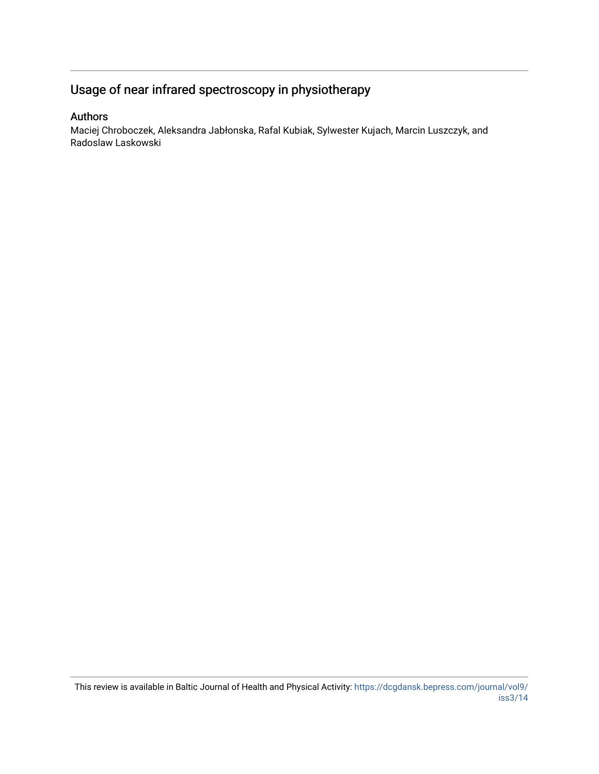# Usage of near infrared spectroscopy in physiotherapy

# Authors

Maciej Chroboczek, Aleksandra Jabłonska, Rafal Kubiak, Sylwester Kujach, Marcin Luszczyk, and Radoslaw Laskowski

This review is available in Baltic Journal of Health and Physical Activity: [https://dcgdansk.bepress.com/journal/vol9/](https://dcgdansk.bepress.com/journal/vol9/iss3/14) [iss3/14](https://dcgdansk.bepress.com/journal/vol9/iss3/14)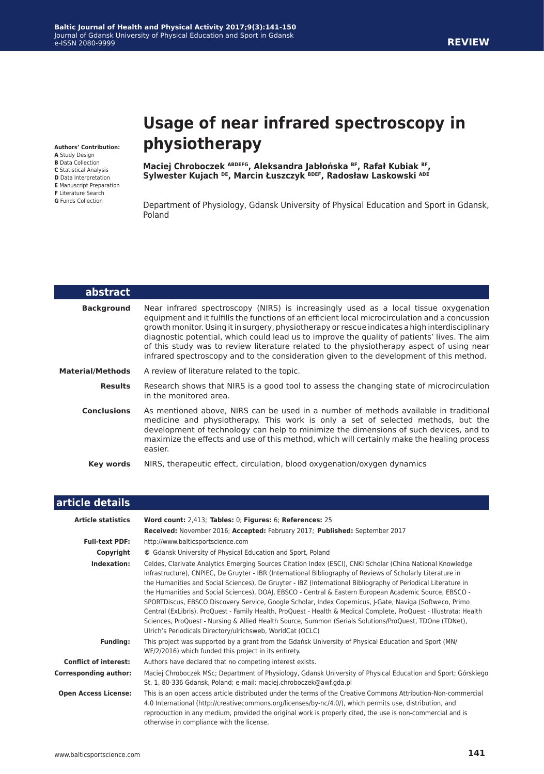#### **Baltic Journal of Health and Physical Activity 2017;9(3):141-150** Journal of Gdansk University of Physical Education and Sport in Gdansk e-ISSN 2080-9999

#### **Authors' Contribution:**

- **A** Study Design **B** Data Collection
- **C** Statistical Analysis
- **D** Data Interpretation
- **E** Manuscript Preparation
- **F** Literature Search
- **G** Funds Collection

I

# **Usage of near infrared spectroscopy in physiotherapy**

**Maciej Chroboczek ABDEFG, Aleksandra Jabłońska BF, Rafał Kubiak BF, Sylwester Kujach DE, Marcin Łuszczyk BDEF, Radosław Laskowski ADE**

Department of Physiology, Gdansk University of Physical Education and Sport in Gdansk, Poland

| abstract                |                                                                                                                                                                                                                                                                                                                                                                                                                                                                                                                                                                                   |
|-------------------------|-----------------------------------------------------------------------------------------------------------------------------------------------------------------------------------------------------------------------------------------------------------------------------------------------------------------------------------------------------------------------------------------------------------------------------------------------------------------------------------------------------------------------------------------------------------------------------------|
| <b>Background</b>       | Near infrared spectroscopy (NIRS) is increasingly used as a local tissue oxygenation<br>equipment and it fulfills the functions of an efficient local microcirculation and a concussion<br>growth monitor. Using it in surgery, physiotherapy or rescue indicates a high interdisciplinary<br>diagnostic potential, which could lead us to improve the quality of patients' lives. The aim<br>of this study was to review literature related to the physiotherapy aspect of using near<br>infrared spectroscopy and to the consideration given to the development of this method. |
| <b>Material/Methods</b> | A review of literature related to the topic.                                                                                                                                                                                                                                                                                                                                                                                                                                                                                                                                      |
| <b>Results</b>          | Research shows that NIRS is a good tool to assess the changing state of microcirculation<br>in the monitored area.                                                                                                                                                                                                                                                                                                                                                                                                                                                                |
| <b>Conclusions</b>      | As mentioned above, NIRS can be used in a number of methods available in traditional<br>medicine and physiotherapy. This work is only a set of selected methods, but the<br>development of technology can help to minimize the dimensions of such devices, and to<br>maximize the effects and use of this method, which will certainly make the healing process<br>easier.                                                                                                                                                                                                        |
| Key words               | NIRS, therapeutic effect, circulation, blood oxygenation/oxygen dynamics                                                                                                                                                                                                                                                                                                                                                                                                                                                                                                          |

| article details              |                                                                                                                                                                                                                                                                                                                                                                                                                                                                                                                                                                                                                                                                                                                                                                                                                                                               |
|------------------------------|---------------------------------------------------------------------------------------------------------------------------------------------------------------------------------------------------------------------------------------------------------------------------------------------------------------------------------------------------------------------------------------------------------------------------------------------------------------------------------------------------------------------------------------------------------------------------------------------------------------------------------------------------------------------------------------------------------------------------------------------------------------------------------------------------------------------------------------------------------------|
| <b>Article statistics</b>    | Word count: 2,413; Tables: 0; Figures: 6; References: 25                                                                                                                                                                                                                                                                                                                                                                                                                                                                                                                                                                                                                                                                                                                                                                                                      |
|                              | Received: November 2016; Accepted: February 2017; Published: September 2017                                                                                                                                                                                                                                                                                                                                                                                                                                                                                                                                                                                                                                                                                                                                                                                   |
| <b>Full-text PDF:</b>        | http://www.balticsportscience.com                                                                                                                                                                                                                                                                                                                                                                                                                                                                                                                                                                                                                                                                                                                                                                                                                             |
| Copyright                    | © Gdansk University of Physical Education and Sport, Poland                                                                                                                                                                                                                                                                                                                                                                                                                                                                                                                                                                                                                                                                                                                                                                                                   |
| Indexation:                  | Celdes, Clarivate Analytics Emerging Sources Citation Index (ESCI), CNKI Scholar (China National Knowledge<br>Infrastructure), CNPIEC, De Gruyter - IBR (International Bibliography of Reviews of Scholarly Literature in<br>the Humanities and Social Sciences), De Gruyter - IBZ (International Bibliography of Periodical Literature in<br>the Humanities and Social Sciences), DOAJ, EBSCO - Central & Eastern European Academic Source, EBSCO -<br>SPORTDiscus, EBSCO Discovery Service, Google Scholar, Index Copernicus, J-Gate, Naviga (Softweco, Primo<br>Central (ExLibris), ProQuest - Family Health, ProQuest - Health & Medical Complete, ProQuest - Illustrata: Health<br>Sciences, ProQuest - Nursing & Allied Health Source, Summon (Serials Solutions/ProQuest, TDOne (TDNet),<br>Ulrich's Periodicals Directory/ulrichsweb, WorldCat (OCLC) |
| <b>Funding:</b>              | This project was supported by a grant from the Gdańsk University of Physical Education and Sport (MN/<br>WF/2/2016) which funded this project in its entirety.                                                                                                                                                                                                                                                                                                                                                                                                                                                                                                                                                                                                                                                                                                |
| <b>Conflict of interest:</b> | Authors have declared that no competing interest exists.                                                                                                                                                                                                                                                                                                                                                                                                                                                                                                                                                                                                                                                                                                                                                                                                      |
| <b>Corresponding author:</b> | Maciej Chroboczek MSc; Department of Physiology, Gdansk University of Physical Education and Sport; Górskiego<br>St. 1, 80-336 Gdansk, Poland; e-mail: maciej.chroboczek@awf.gda.pl                                                                                                                                                                                                                                                                                                                                                                                                                                                                                                                                                                                                                                                                           |
| <b>Open Access License:</b>  | This is an open access article distributed under the terms of the Creative Commons Attribution-Non-commercial<br>4.0 International (http://creativecommons.org/licenses/by-nc/4.0/), which permits use, distribution, and<br>reproduction in any medium, provided the original work is properly cited, the use is non-commercial and is<br>otherwise in compliance with the license.                                                                                                                                                                                                                                                                                                                                                                                                                                                                          |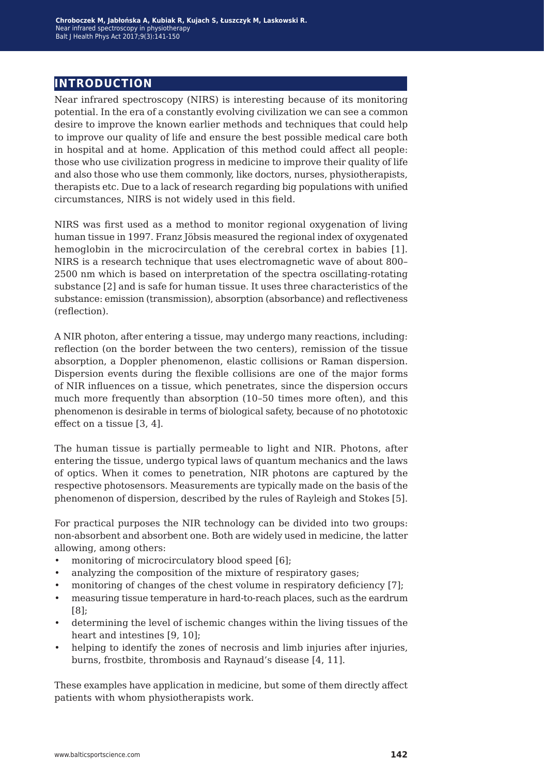# **introduction**

Near infrared spectroscopy (NIRS) is interesting because of its monitoring potential. In the era of a constantly evolving civilization we can see a common desire to improve the known earlier methods and techniques that could help to improve our quality of life and ensure the best possible medical care both in hospital and at home. Application of this method could affect all people: those who use civilization progress in medicine to improve their quality of life and also those who use them commonly, like doctors, nurses, physiotherapists, therapists etc. Due to a lack of research regarding big populations with unified circumstances, NIRS is not widely used in this field.

NIRS was first used as a method to monitor regional oxygenation of living human tissue in 1997. Franz Jöbsis measured the regional index of oxygenated hemoglobin in the microcirculation of the cerebral cortex in babies [1]. NIRS is a research technique that uses electromagnetic wave of about 800– 2500 nm which is based on interpretation of the spectra oscillating-rotating substance [2] and is safe for human tissue. It uses three characteristics of the substance: emission (transmission), absorption (absorbance) and reflectiveness (reflection).

A NIR photon, after entering a tissue, may undergo many reactions, including: reflection (on the border between the two centers), remission of the tissue absorption, a Doppler phenomenon, elastic collisions or Raman dispersion. Dispersion events during the flexible collisions are one of the major forms of NIR influences on a tissue, which penetrates, since the dispersion occurs much more frequently than absorption (10–50 times more often), and this phenomenon is desirable in terms of biological safety, because of no phototoxic effect on a tissue [3, 4].

The human tissue is partially permeable to light and NIR. Photons, after entering the tissue, undergo typical laws of quantum mechanics and the laws of optics. When it comes to penetration, NIR photons are captured by the respective photosensors. Measurements are typically made on the basis of the phenomenon of dispersion, described by the rules of Rayleigh and Stokes [5].

For practical purposes the NIR technology can be divided into two groups: non-absorbent and absorbent one. Both are widely used in medicine, the latter allowing, among others:

- monitoring of microcirculatory blood speed [6];
- analyzing the composition of the mixture of respiratory gases;
- monitoring of changes of the chest volume in respiratory deficiency [7];
- measuring tissue temperature in hard-to-reach places, such as the eardrum [8];
- determining the level of ischemic changes within the living tissues of the heart and intestines [9, 10];
- helping to identify the zones of necrosis and limb injuries after injuries, burns, frostbite, thrombosis and Raynaud's disease [4, 11].

These examples have application in medicine, but some of them directly affect patients with whom physiotherapists work.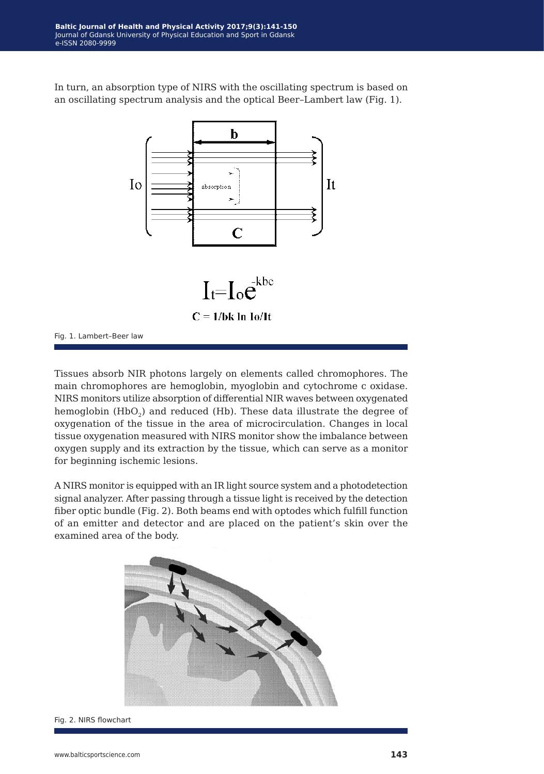In turn, an absorption type of NIRS with the oscillating spectrum is based on an oscillating spectrum analysis and the optical Beer–Lambert law (Fig. 1).



Fig. 1. Lambert–Beer law

Tissues absorb NIR photons largely on elements called chromophores. The main chromophores are hemoglobin, myoglobin and cytochrome c oxidase. NIRS monitors utilize absorption of differential NIR waves between oxygenated hemoglobin (HbO<sub>2</sub>) and reduced (Hb). These data illustrate the degree of oxygenation of the tissue in the area of microcirculation. Changes in local tissue oxygenation measured with NIRS monitor show the imbalance between oxygen supply and its extraction by the tissue, which can serve as a monitor for beginning ischemic lesions.

A NIRS monitor is equipped with an IR light source system and a photodetection signal analyzer. After passing through a tissue light is received by the detection fiber optic bundle (Fig. 2). Both beams end with optodes which fulfill function of an emitter and detector and are placed on the patient's skin over the examined area of the body.



Fig. 2. NIRS flowchart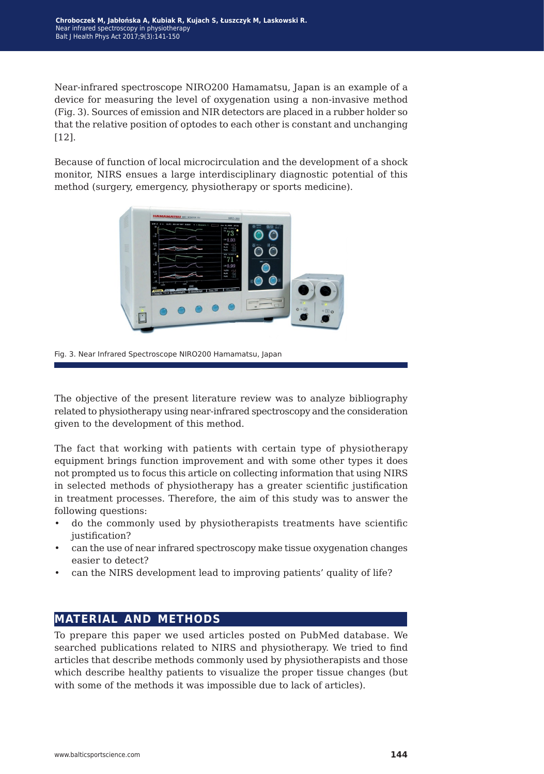Near-infrared spectroscope NIRO200 Hamamatsu, Japan is an example of a device for measuring the level of oxygenation using a non-invasive method (Fig. 3). Sources of emission and NIR detectors are placed in a rubber holder so that the relative position of optodes to each other is constant and unchanging [12].

Because of function of local microcirculation and the development of a shock monitor, NIRS ensues a large interdisciplinary diagnostic potential of this method (surgery, emergency, physiotherapy or sports medicine).



Fig. 3. Near Infrared Spectroscope NIRO200 Hamamatsu, Japan

The objective of the present literature review was to analyze bibliography related to physiotherapy using near-infrared spectroscopy and the consideration given to the development of this method.

The fact that working with patients with certain type of physiotherapy equipment brings function improvement and with some other types it does not prompted us to focus this article on collecting information that using NIRS in selected methods of physiotherapy has a greater scientific justification in treatment processes. Therefore, the aim of this study was to answer the following questions:

- do the commonly used by physiotherapists treatments have scientific justification?
- can the use of near infrared spectroscopy make tissue oxygenation changes easier to detect?
- can the NIRS development lead to improving patients' quality of life?

# **material and methods**

To prepare this paper we used articles posted on PubMed database. We searched publications related to NIRS and physiotherapy. We tried to find articles that describe methods commonly used by physiotherapists and those which describe healthy patients to visualize the proper tissue changes (but with some of the methods it was impossible due to lack of articles).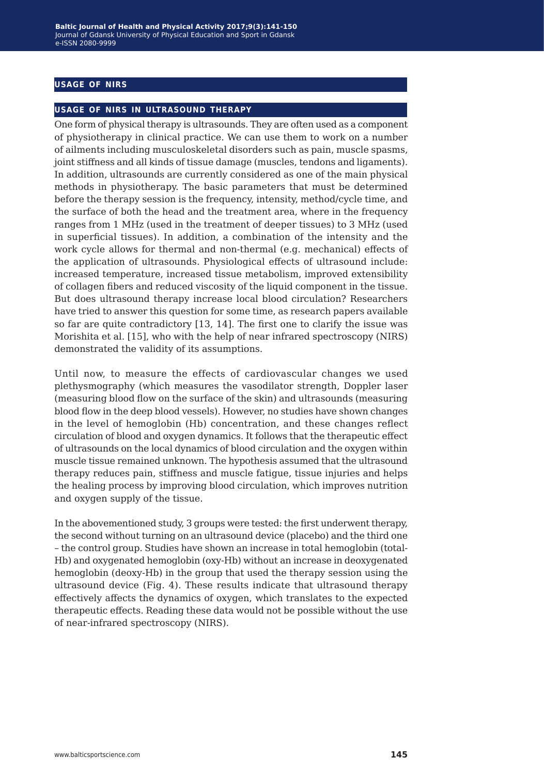## **usage of nirs**

#### **usage of nirs in ultrasound therapy**

One form of physical therapy is ultrasounds. They are often used as a component of physiotherapy in clinical practice. We can use them to work on a number of ailments including musculoskeletal disorders such as pain, muscle spasms, joint stiffness and all kinds of tissue damage (muscles, tendons and ligaments). In addition, ultrasounds are currently considered as one of the main physical methods in physiotherapy. The basic parameters that must be determined before the therapy session is the frequency, intensity, method/cycle time, and the surface of both the head and the treatment area, where in the frequency ranges from 1 MHz (used in the treatment of deeper tissues) to 3 MHz (used in superficial tissues). In addition, a combination of the intensity and the work cycle allows for thermal and non-thermal (e.g. mechanical) effects of the application of ultrasounds. Physiological effects of ultrasound include: increased temperature, increased tissue metabolism, improved extensibility of collagen fibers and reduced viscosity of the liquid component in the tissue. But does ultrasound therapy increase local blood circulation? Researchers have tried to answer this question for some time, as research papers available so far are quite contradictory [13, 14]. The first one to clarify the issue was Morishita et al. [15], who with the help of near infrared spectroscopy (NIRS) demonstrated the validity of its assumptions.

Until now, to measure the effects of cardiovascular changes we used plethysmography (which measures the vasodilator strength, Doppler laser (measuring blood flow on the surface of the skin) and ultrasounds (measuring blood flow in the deep blood vessels). However, no studies have shown changes in the level of hemoglobin (Hb) concentration, and these changes reflect circulation of blood and oxygen dynamics. It follows that the therapeutic effect of ultrasounds on the local dynamics of blood circulation and the oxygen within muscle tissue remained unknown. The hypothesis assumed that the ultrasound therapy reduces pain, stiffness and muscle fatigue, tissue injuries and helps the healing process by improving blood circulation, which improves nutrition and oxygen supply of the tissue.

In the abovementioned study, 3 groups were tested: the first underwent therapy, the second without turning on an ultrasound device (placebo) and the third one – the control group. Studies have shown an increase in total hemoglobin (total-Hb) and oxygenated hemoglobin (oxy-Hb) without an increase in deoxygenated hemoglobin (deoxy-Hb) in the group that used the therapy session using the ultrasound device (Fig. 4). These results indicate that ultrasound therapy effectively affects the dynamics of oxygen, which translates to the expected therapeutic effects. Reading these data would not be possible without the use of near-infrared spectroscopy (NIRS).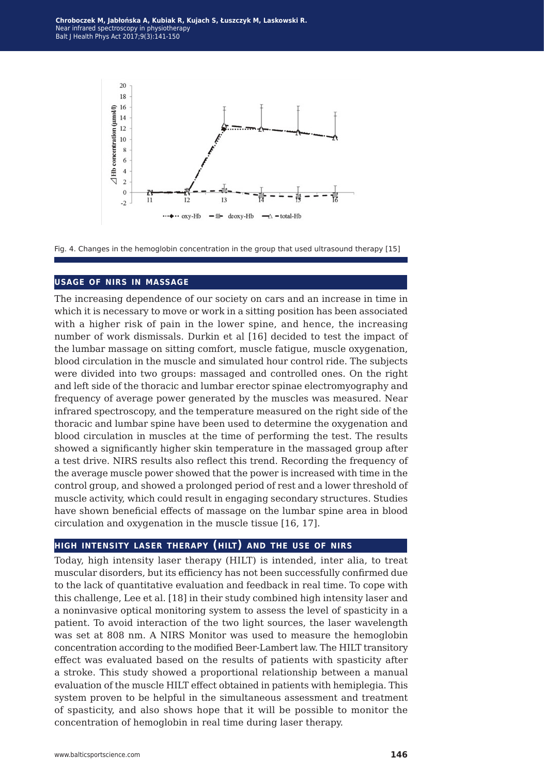**Chroboczek M, Jabłońska A, Kubiak R, Kujach S, Łuszczyk M, Laskowski R.** Near infrared spectroscopy in physiotherapy Balt J Health Phys Act 2017;9(3):141-150



Fig. 4. Changes in the hemoglobin concentration in the group that used ultrasound therapy [15]

#### **usage of nirs in massage**

The increasing dependence of our society on cars and an increase in time in which it is necessary to move or work in a sitting position has been associated with a higher risk of pain in the lower spine, and hence, the increasing number of work dismissals. Durkin et al [16] decided to test the impact of the lumbar massage on sitting comfort, muscle fatigue, muscle oxygenation, blood circulation in the muscle and simulated hour control ride. The subjects were divided into two groups: massaged and controlled ones. On the right and left side of the thoracic and lumbar erector spinae electromyography and frequency of average power generated by the muscles was measured. Near infrared spectroscopy, and the temperature measured on the right side of the thoracic and lumbar spine have been used to determine the oxygenation and blood circulation in muscles at the time of performing the test. The results showed a significantly higher skin temperature in the massaged group after a test drive. NIRS results also reflect this trend. Recording the frequency of the average muscle power showed that the power is increased with time in the control group, and showed a prolonged period of rest and a lower threshold of muscle activity, which could result in engaging secondary structures. Studies have shown beneficial effects of massage on the lumbar spine area in blood circulation and oxygenation in the muscle tissue [16, 17].

### **high intensity laser therapy (hilt) and the use of nirs**

Today, high intensity laser therapy (HILT) is intended, inter alia, to treat muscular disorders, but its efficiency has not been successfully confirmed due to the lack of quantitative evaluation and feedback in real time. To cope with this challenge, Lee et al. [18] in their study combined high intensity laser and a noninvasive optical monitoring system to assess the level of spasticity in a patient. To avoid interaction of the two light sources, the laser wavelength was set at 808 nm. A NIRS Monitor was used to measure the hemoglobin concentration according to the modified Beer-Lambert law. The HILT transitory effect was evaluated based on the results of patients with spasticity after a stroke. This study showed a proportional relationship between a manual evaluation of the muscle HILT effect obtained in patients with hemiplegia. This system proven to be helpful in the simultaneous assessment and treatment of spasticity, and also shows hope that it will be possible to monitor the concentration of hemoglobin in real time during laser therapy.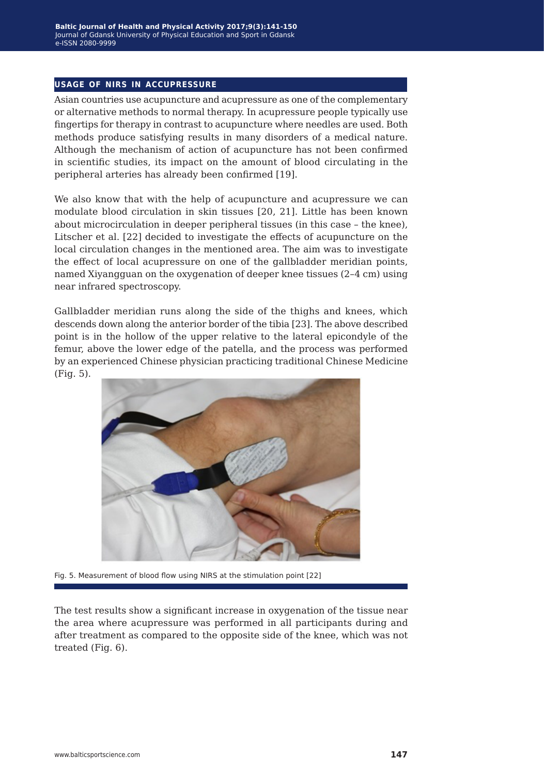### **usage of nirs in accupressure**

Asian countries use acupuncture and acupressure as one of the complementary or alternative methods to normal therapy. In acupressure people typically use fingertips for therapy in contrast to acupuncture where needles are used. Both methods produce satisfying results in many disorders of a medical nature. Although the mechanism of action of acupuncture has not been confirmed in scientific studies, its impact on the amount of blood circulating in the peripheral arteries has already been confirmed [19].

We also know that with the help of acupuncture and acupressure we can modulate blood circulation in skin tissues [20, 21]. Little has been known about microcirculation in deeper peripheral tissues (in this case – the knee), Litscher et al. [22] decided to investigate the effects of acupuncture on the local circulation changes in the mentioned area. The aim was to investigate the effect of local acupressure on one of the gallbladder meridian points, named Xiyangguan on the oxygenation of deeper knee tissues (2–4 cm) using near infrared spectroscopy.

Gallbladder meridian runs along the side of the thighs and knees, which descends down along the anterior border of the tibia [23]. The above described point is in the hollow of the upper relative to the lateral epicondyle of the femur, above the lower edge of the patella, and the process was performed by an experienced Chinese physician practicing traditional Chinese Medicine (Fig. 5).



Fig. 5. Measurement of blood flow using NIRS at the stimulation point [22]

The test results show a significant increase in oxygenation of the tissue near the area where acupressure was performed in all participants during and after treatment as compared to the opposite side of the knee, which was not treated (Fig. 6).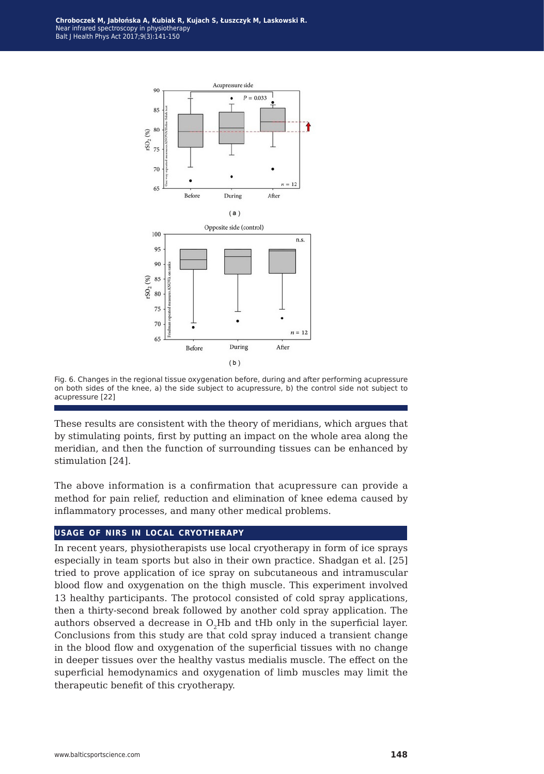

Fig. 6. Changes in the regional tissue oxygenation before, during and after performing acupressure on both sides of the knee, a) the side subject to acupressure, b) the control side not subject to acupressure [22]

These results are consistent with the theory of meridians, which argues that by stimulating points, first by putting an impact on the whole area along the meridian, and then the function of surrounding tissues can be enhanced by stimulation [24].

The above information is a confirmation that acupressure can provide a method for pain relief, reduction and elimination of knee edema caused by inflammatory processes, and many other medical problems.

### **usage of nirs in local cryotherapy**

In recent years, physiotherapists use local cryotherapy in form of ice sprays especially in team sports but also in their own practice. Shadgan et al. [25] tried to prove application of ice spray on subcutaneous and intramuscular blood flow and oxygenation on the thigh muscle. This experiment involved 13 healthy participants. The protocol consisted of cold spray applications, then a thirty-second break followed by another cold spray application. The authors observed a decrease in  $O<sub>2</sub>Hb$  and tHb only in the superficial layer. Conclusions from this study are that cold spray induced a transient change in the blood flow and oxygenation of the superficial tissues with no change in deeper tissues over the healthy vastus medialis muscle. The effect on the superficial hemodynamics and oxygenation of limb muscles may limit the therapeutic benefit of this cryotherapy.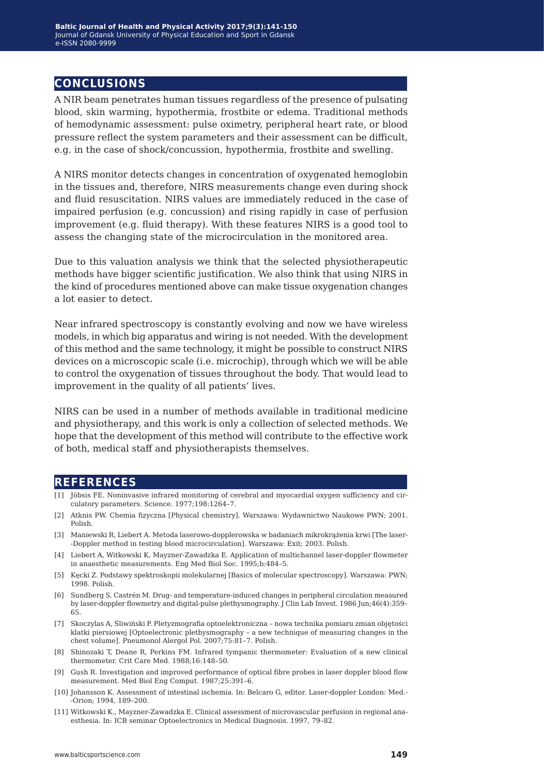# **conclusions**

A NIR beam penetrates human tissues regardless of the presence of pulsating blood, skin warming, hypothermia, frostbite or edema. Traditional methods of hemodynamic assessment: pulse oximetry, peripheral heart rate, or blood pressure reflect the system parameters and their assessment can be difficult, e.g. in the case of shock/concussion, hypothermia, frostbite and swelling.

A NIRS monitor detects changes in concentration of oxygenated hemoglobin in the tissues and, therefore, NIRS measurements change even during shock and fluid resuscitation. NIRS values are immediately reduced in the case of impaired perfusion (e.g. concussion) and rising rapidly in case of perfusion improvement (e.g. fluid therapy). With these features NIRS is a good tool to assess the changing state of the microcirculation in the monitored area.

Due to this valuation analysis we think that the selected physiotherapeutic methods have bigger scientific justification. We also think that using NIRS in the kind of procedures mentioned above can make tissue oxygenation changes a lot easier to detect.

Near infrared spectroscopy is constantly evolving and now we have wireless models, in which big apparatus and wiring is not needed. With the development of this method and the same technology, it might be possible to construct NIRS devices on a microscopic scale (i.e. microchip), through which we will be able to control the oxygenation of tissues throughout the body. That would lead to improvement in the quality of all patients' lives.

NIRS can be used in a number of methods available in traditional medicine and physiotherapy, and this work is only a collection of selected methods. We hope that the development of this method will contribute to the effective work of both, medical staff and physiotherapists themselves.

## **references**

- [1] Jöbsis FE. Noninvasive infrared monitoring of cerebral and myocardial oxygen sufficiency and circulatory parameters. Science. 1977;198:1264–7.
- [2] Atknis PW. Chemia fizyczna [Physical chemistry]. Warszawa: Wydawnictwo Naukowe PWN; 2001. Polish.
- [3] Maniewski R, Liebert A. Metoda laserowo-dopplerowska w badaniach mikrokrążenia krwi [The laser- -Doppler method in testing blood microcirculation]. Warszawa: Exit; 2003. Polish.
- [4] Liebert A, Witkowski K, Mayzner-Zawadzka E. Application of multichannel laser-doppler flowmeter in anaesthetic measurements. Eng Med Biol Soc. 1995;b:484–5.
- [5] Kęcki Z. Podstawy spektroskopii molekularnej [Basics of molecular spectroscopy]. Warszawa: PWN; 1998. Polish.
- [6] Sundberg S, Castrén M. Drug- and temperature-induced changes in peripheral circulation measured by laser-doppler flowmetry and digital-pulse plethysmography. J Clin Lab Invest. 1986 Jun;46(4):359– 65.
- [7] Skoczylas A, Śliwiński P. Pletyzmografia optoelektroniczna nowa technika pomiaru zmian objętości klatki piersiowej [Optoelectronic plethysmography – a new technique of measuring changes in the chest volume]. Pneumonol Alergol Pol. 2007;75:81–7. Polish.
- [8] Shinozaki T, Deane R, Perkins FM. Infrared tympanic thermometer: Evaluation of a new clinical thermometer. Crit Care Med. 1988;16:148–50.
- [9] Gush R. Investigation and improved performance of optical fibre probes in laser doppler blood flow measurement. Med Biol Eng Comput. 1987;25:391–6.
- [10] Johansson K. Assessment of intestinal ischemia. In: Belcaro G, editor. Laser-doppler London: Med.- -Orion; 1994, 189–200.
- [11] Witkowski K., Mayzner-Zawadzka E. Clinical assessment of microvascular perfusion in regional anaesthesia. In: ICB seminar Optoelectronics in Medical Diagnosis. 1997, 79–82.